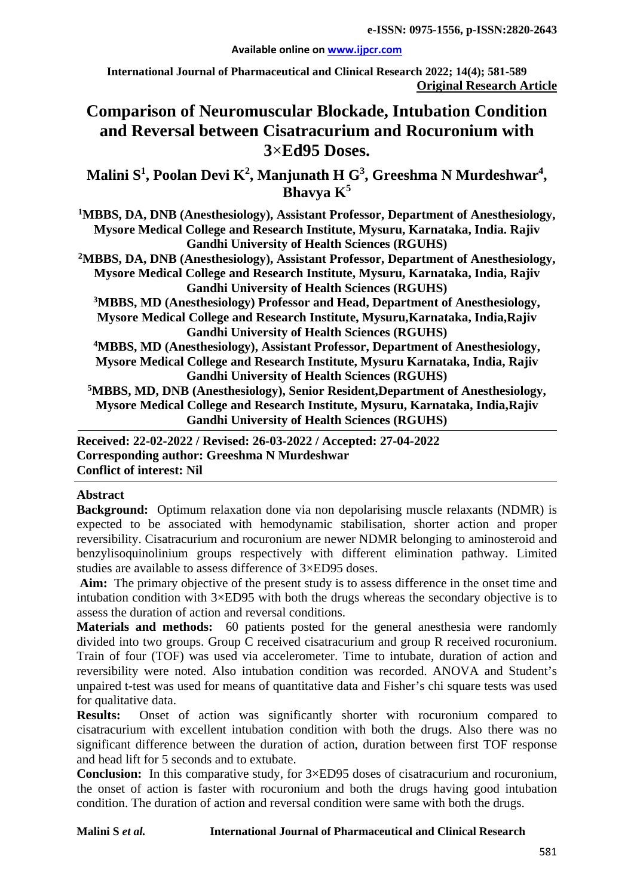#### **Available online on [www.ijpcr.com](http://www.ijpcr.com/)**

**International Journal of Pharmaceutical and Clinical Research 2022; 14(4); 581-589 Original Research Article**

# **Comparison of Neuromuscular Blockade, Intubation Condition and Reversal between Cisatracurium and Rocuronium with 3**×**Ed95 Doses.**

Malini S<sup>1</sup>, Poolan Devi K<sup>2</sup>, Manjunath H G<sup>3</sup>, Greeshma N Murdeshwar<sup>4</sup>, **Bhavya K5**

**1 MBBS, DA, DNB (Anesthesiology), Assistant Professor, Department of Anesthesiology, Mysore Medical College and Research Institute, Mysuru, Karnataka, India. Rajiv Gandhi University of Health Sciences (RGUHS)**

**2 MBBS, DA, DNB (Anesthesiology), Assistant Professor, Department of Anesthesiology, Mysore Medical College and Research Institute, Mysuru, Karnataka, India, Rajiv Gandhi University of Health Sciences (RGUHS)**

**3 MBBS, MD (Anesthesiology) Professor and Head, Department of Anesthesiology, Mysore Medical College and Research Institute, Mysuru,Karnataka, India,Rajiv Gandhi University of Health Sciences (RGUHS)**

**4 MBBS, MD (Anesthesiology), Assistant Professor, Department of Anesthesiology, Mysore Medical College and Research Institute, Mysuru Karnataka, India, Rajiv Gandhi University of Health Sciences (RGUHS)**

**5MBBS, MD, DNB (Anesthesiology), Senior Resident,Department of Anesthesiology, Mysore Medical College and Research Institute, Mysuru, Karnataka, India,Rajiv Gandhi University of Health Sciences (RGUHS)**

**Received: 22-02-2022 / Revised: 26-03-2022 / Accepted: 27-04-2022 Corresponding author: Greeshma N Murdeshwar Conflict of interest: Nil**

### **Abstract**

**Background:** Optimum relaxation done via non depolarising muscle relaxants (NDMR) is expected to be associated with hemodynamic stabilisation, shorter action and proper reversibility. Cisatracurium and rocuronium are newer NDMR belonging to aminosteroid and benzylisoquinolinium groups respectively with different elimination pathway. Limited studies are available to assess difference of 3×ED95 doses.

**Aim:** The primary objective of the present study is to assess difference in the onset time and intubation condition with 3×ED95 with both the drugs whereas the secondary objective is to assess the duration of action and reversal conditions.

**Materials and methods:** 60 patients posted for the general anesthesia were randomly divided into two groups. Group C received cisatracurium and group R received rocuronium. Train of four (TOF) was used via accelerometer. Time to intubate, duration of action and reversibility were noted. Also intubation condition was recorded. ANOVA and Student's unpaired t-test was used for means of quantitative data and Fisher's chi square tests was used for qualitative data.

**Results:** Onset of action was significantly shorter with rocuronium compared to cisatracurium with excellent intubation condition with both the drugs. Also there was no significant difference between the duration of action, duration between first TOF response and head lift for 5 seconds and to extubate.

**Conclusion:** In this comparative study, for 3×ED95 doses of cisatracurium and rocuronium, the onset of action is faster with rocuronium and both the drugs having good intubation condition. The duration of action and reversal condition were same with both the drugs.

#### **Malini S** *et al.* **International Journal of Pharmaceutical and Clinical Research**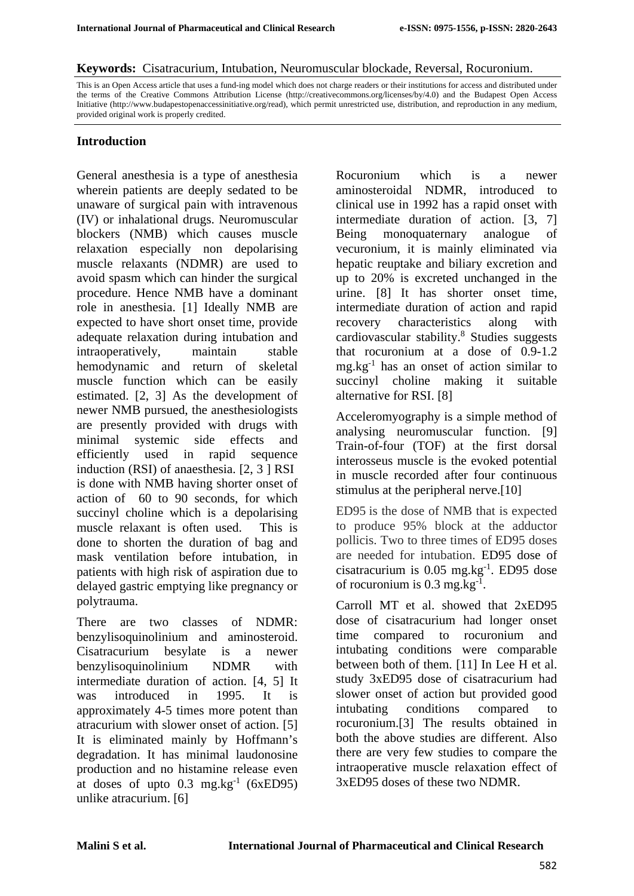#### **Keywords:** Cisatracurium, Intubation, Neuromuscular blockade, Reversal, Rocuronium.

This is an Open Access article that uses a fund-ing model which does not charge readers or their institutions for access and distributed under the terms of the Creative Commons Attribution License (http://creativecommons.org/licenses/by/4.0) and the Budapest Open Access Initiative (http://www.budapestopenaccessinitiative.org/read), which permit unrestricted use, distribution, and reproduction in any medium, provided original work is properly credited.

### **Introduction**

General anesthesia is a type of anesthesia wherein patients are deeply sedated to be unaware of surgical pain with intravenous (IV) or inhalational drugs. Neuromuscular blockers (NMB) which causes muscle relaxation especially non depolarising muscle relaxants (NDMR) are used to avoid spasm which can hinder the surgical procedure. Hence NMB have a dominant role in anesthesia. [1] Ideally NMB are expected to have short onset time, provide adequate relaxation during intubation and intraoperatively, maintain stable hemodynamic and return of skeletal muscle function which can be easily estimated. [2, 3] As the development of newer NMB pursued, the anesthesiologists are presently provided with drugs with minimal systemic side effects and efficiently used in rapid sequence induction (RSI) of anaesthesia. [2, 3 ] RSI is done with NMB having shorter onset of action of 60 to 90 seconds, for which succinyl choline which is a depolarising muscle relaxant is often used. This is done to shorten the duration of bag and mask ventilation before intubation, in patients with high risk of aspiration due to delayed gastric emptying like pregnancy or polytrauma.

There are two classes of NDMR: benzylisoquinolinium and aminosteroid. Cisatracurium besylate is a newer benzylisoquinolinium NDMR with intermediate duration of action. [4, 5] It was introduced in 1995. It is approximately 4-5 times more potent than atracurium with slower onset of action. [5] It is eliminated mainly by Hoffmann's degradation. It has minimal laudonosine production and no histamine release even at doses of upto  $0.3 \text{ mg} \cdot \text{kg}^{-1}$  (6xED95) unlike atracurium. [6]

Rocuronium which is a newer aminosteroidal NDMR, introduced to clinical use in 1992 has a rapid onset with intermediate duration of action. [3, 7] Being monoquaternary analogue of vecuronium, it is mainly eliminated via hepatic reuptake and biliary excretion and up to 20% is excreted unchanged in the urine. [8] It has shorter onset time, intermediate duration of action and rapid recovery characteristics along with cardiovascular stability. $8$  Studies suggests that rocuronium at a dose of 0.9-1.2  $mg \text{.} kg^{-1}$  has an onset of action similar to succinyl choline making it suitable alternative for RSI. [8]

Acceleromyography is a simple method of analysing neuromuscular function. [9] Train-of-four (TOF) at the first dorsal interosseus muscle is the evoked potential in muscle recorded after four continuous stimulus at the peripheral nerve.<sup>[10]</sup>

ED95 is the dose of NMB that is expected to produce 95% block at the adductor pollicis. Two to three times of ED95 doses are needed for intubation. ED95 dose of  $c$ isatracurium is 0.05 mg.kg $^{-1}$ . ED95 dose of rocuronium is  $0.3 \text{ mg} \cdot \text{kg}^{-1}$ .

Carroll MT et al. showed that 2xED95 dose of cisatracurium had longer onset time compared to rocuronium and intubating conditions were comparable between both of them. [11] In Lee H et al. study 3xED95 dose of cisatracurium had slower onset of action but provided good intubating conditions compared to rocuronium.[3] The results obtained in both the above studies are different. Also there are very few studies to compare the intraoperative muscle relaxation effect of 3xED95 doses of these two NDMR.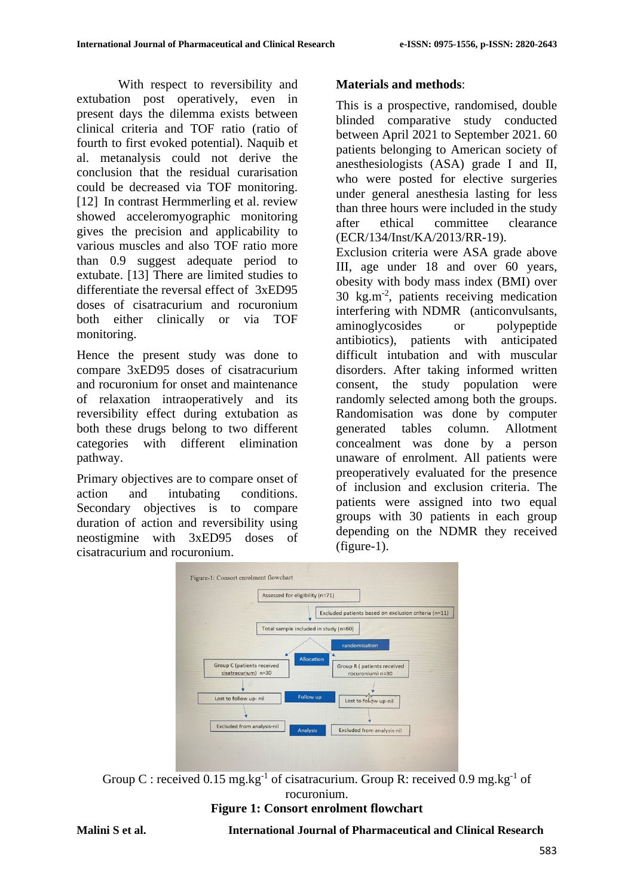With respect to reversibility and extubation post operatively, even in present days the dilemma exists between clinical criteria and TOF ratio (ratio of fourth to first evoked potential). Naquib et al. metanalysis could not derive the conclusion that the residual curarisation could be decreased via TOF monitoring. [12] In contrast Hermmerling et al. review showed acceleromyographic monitoring gives the precision and applicability to various muscles and also TOF ratio more than 0.9 suggest adequate period to extubate. [13] There are limited studies to differentiate the reversal effect of 3xED95 doses of cisatracurium and rocuronium both either clinically or via TOF monitoring.

Hence the present study was done to compare 3xED95 doses of cisatracurium and rocuronium for onset and maintenance of relaxation intraoperatively and its reversibility effect during extubation as both these drugs belong to two different categories with different elimination pathway.

Primary objectives are to compare onset of action and intubating conditions. Secondary objectives is to compare duration of action and reversibility using neostigmine with 3xED95 doses of cisatracurium and rocuronium.

## **Materials and methods**:

This is a prospective, randomised, double blinded comparative study conducted between April 2021 to September 2021. 60 patients belonging to American society of anesthesiologists (ASA) grade I and II, who were posted for elective surgeries under general anesthesia lasting for less than three hours were included in the study after ethical committee clearance (ECR/134/Inst/KA/2013/RR-19).

Exclusion criteria were ASA grade above III, age under 18 and over 60 years, obesity with body mass index (BMI) over 30 kg.m-2 , patients receiving medication interfering with NDMR (anticonvulsants, aminoglycosides or polypeptide antibiotics), patients with anticipated difficult intubation and with muscular disorders. After taking informed written consent, the study population were randomly selected among both the groups. Randomisation was done by computer generated tables column. Allotment concealment was done by a person unaware of enrolment. All patients were preoperatively evaluated for the presence of inclusion and exclusion criteria. The patients were assigned into two equal groups with 30 patients in each group depending on the NDMR they received (figure-1).



Group C : received  $0.15$  mg.kg<sup>-1</sup> of cisatracurium. Group R: received  $0.9$  mg.kg<sup>-1</sup> of rocuronium.

# **Figure 1: Consort enrolment flowchart**

### **Malini S et al. International Journal of Pharmaceutical and Clinical Research**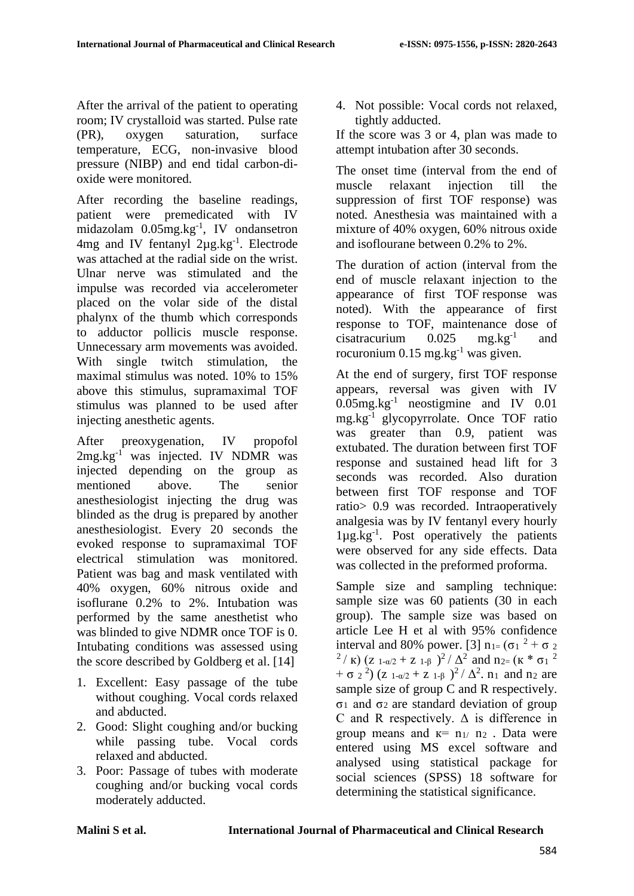After the arrival of the patient to operating room; IV crystalloid was started. Pulse rate (PR), oxygen saturation, surface temperature, ECG, non-invasive blood pressure (NIBP) and end tidal carbon-dioxide were monitored.

After recording the baseline readings, patient were premedicated with IV midazolam 0.05mg.kg<sup>-1</sup>, IV ondansetron  $4mg$  and IV fentanyl  $2\mu g.kg^{-1}$ . Electrode was attached at the radial side on the wrist. Ulnar nerve was stimulated and the impulse was recorded via accelerometer placed on the volar side of the distal phalynx of the thumb which corresponds to adductor pollicis muscle response. Unnecessary arm movements was avoided. With single twitch stimulation, the maximal stimulus was noted. 10% to 15% above this stimulus, supramaximal TOF stimulus was planned to be used after injecting anesthetic agents.

After preoxygenation, IV propofol  $2mg \text{.kg}^{-1}$  was injected. IV NDMR was injected depending on the group as mentioned above. The senior anesthesiologist injecting the drug was blinded as the drug is prepared by another anesthesiologist. Every 20 seconds the evoked response to supramaximal TOF electrical stimulation was monitored. Patient was bag and mask ventilated with 40% oxygen, 60% nitrous oxide and isoflurane 0.2% to 2%. Intubation was performed by the same anesthetist who was blinded to give NDMR once TOF is 0. Intubating conditions was assessed using the score described by Goldberg et al. [14]

- 1. Excellent: Easy passage of the tube without coughing. Vocal cords relaxed and abducted.
- 2. Good: Slight coughing and/or bucking while passing tube. Vocal cords relaxed and abducted.
- 3. Poor: Passage of tubes with moderate coughing and/or bucking vocal cords moderately adducted.

4. Not possible: Vocal cords not relaxed, tightly adducted.

If the score was 3 or 4, plan was made to attempt intubation after 30 seconds.

The onset time (interval from the end of muscle relaxant injection till the suppression of first TOF response) was noted. Anesthesia was maintained with a mixture of 40% oxygen, 60% nitrous oxide and isoflourane between 0.2% to 2%.

The duration of action (interval from the end of muscle relaxant injection to the appearance of first TOF response was noted). With the appearance of first response to TOF, maintenance dose of cisatracurium  $0.025$  mg.kg<sup>-1</sup> and rocuronium  $0.15$  mg.kg<sup>-1</sup> was given.

At the end of surgery, first TOF response appears, reversal was given with IV  $0.05$ mg.kg<sup>-1</sup> neostigmine and IV  $0.01$ mg.kg-1 glycopyrrolate. Once TOF ratio was greater than 0.9, patient was extubated. The duration between first TOF response and sustained head lift for 3 seconds was recorded. Also duration between first TOF response and TOF ratio> 0.9 was recorded. Intraoperatively analgesia was by IV fentanyl every hourly 1µg.kg-1 . Post operatively the patients were observed for any side effects. Data was collected in the preformed proforma.

Sample size and sampling technique: sample size was 60 patients (30 in each group). The sample size was based on article Lee H et al with 95% confidence interval and 80% power. [3]  $n_{1}$ = ( $\sigma_1$ <sup>2</sup> +  $\sigma_2$ <sup>2</sup>/ K) (z 1-α/2 + z 1-β )<sup>2</sup>/  $\Delta$ <sup>2</sup> and n<sub>2=</sub> (κ \* σ<sub>1</sub><sup>2</sup>)  $+ \sigma_2^2$ ) (z 1-α/2 + z 1-β )<sup>2</sup>/  $\Delta^2$ . n<sub>1</sub> and n<sub>2</sub> are sample size of group C and R respectively. σ<sub>1</sub> and σ<sub>2</sub> are standard deviation of group C and R respectively. Δ is difference in group means and  $\kappa$ = n<sub>1</sub>/ n<sub>2</sub>. Data were entered using MS excel software and analysed using statistical package for social sciences (SPSS) 18 software for determining the statistical significance.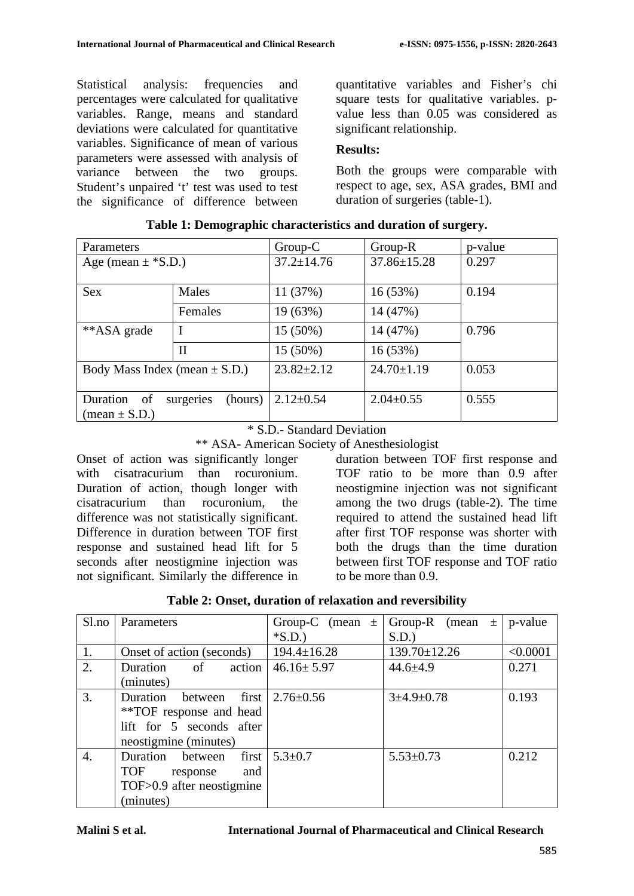Statistical analysis: frequencies and percentages were calculated for qualitative variables. Range, means and standard deviations were calculated for quantitative variables. Significance of mean of various parameters were assessed with analysis of variance between the two groups. Student's unpaired 't' test was used to test the significance of difference between quantitative variables and Fisher's chi square tests for qualitative variables. pvalue less than 0.05 was considered as significant relationship.

### **Results:**

Both the groups were comparable with respect to age, sex, ASA grades, BMI and duration of surgeries (table-1).

| Parameters                                                      |              | $Group-C$        | Group-R           | p-value |
|-----------------------------------------------------------------|--------------|------------------|-------------------|---------|
| Age (mean $\pm$ *S.D.)                                          |              | $37.2 \pm 14.76$ | $37.86 \pm 15.28$ | 0.297   |
| Sex                                                             | Males        | 11 (37%)         | 16(53%)           | 0.194   |
|                                                                 | Females      | 19 (63%)         | 14 (47%)          |         |
| **ASA grade                                                     | I            | $15(50\%)$       | 14 (47%)          | 0.796   |
|                                                                 | $\mathbf{I}$ | 15 (50%)         | 16(53%)           |         |
| Body Mass Index (mean $\pm$ S.D.)                               |              | $23.82 \pm 2.12$ | $24.70 \pm 1.19$  | 0.053   |
| surgeries<br>Duration of<br>(hours)<br>$(\text{mean} \pm S.D.)$ |              | $2.12 \pm 0.54$  | $2.04 \pm 0.55$   | 0.555   |

\* S.D.- Standard Deviation

\*\* ASA- American Society of Anesthesiologist

Onset of action was significantly longer with cisatracurium than rocuronium. Duration of action, though longer with cisatracurium than rocuronium, the difference was not statistically significant. Difference in duration between TOF first response and sustained head lift for 5 seconds after neostigmine injection was not significant. Similarly the difference in

duration between TOF first response and TOF ratio to be more than 0.9 after neostigmine injection was not significant among the two drugs (table-2). The time required to attend the sustained head lift after first TOF response was shorter with both the drugs than the time duration between first TOF response and TOF ratio to be more than 0.9.

| Sl.no            | Parameters                             | Group-C (mean $\pm$ | Group-R (mean $\pm$   p-value |          |
|------------------|----------------------------------------|---------------------|-------------------------------|----------|
|                  |                                        | $*S.D.)$            | S.D.                          |          |
| 1.               | Onset of action (seconds)              | $194.4 \pm 16.28$   | 139.70±12.26                  | < 0.0001 |
| 2.               | Duration<br>action<br>of               | $46.16 \pm 5.97$    | $44.6 + 4.9$                  | 0.271    |
|                  | (minutes)                              |                     |                               |          |
| 3.               | Duration between first $2.76 \pm 0.56$ |                     | $3+4.9+0.78$                  | 0.193    |
|                  | **TOF response and head                |                     |                               |          |
|                  | lift for 5 seconds after               |                     |                               |          |
|                  | neostigmine (minutes)                  |                     |                               |          |
| $\overline{4}$ . | Duration between first                 | $5.3 \pm 0.7$       | $5.53 \pm 0.73$               | 0.212    |
|                  | <b>TOF</b><br>and<br>response          |                     |                               |          |
|                  | TOF>0.9 after neostigmine              |                     |                               |          |
|                  | (minutes)                              |                     |                               |          |

|  |  |  | Table 2: Onset, duration of relaxation and reversibility |  |  |
|--|--|--|----------------------------------------------------------|--|--|
|--|--|--|----------------------------------------------------------|--|--|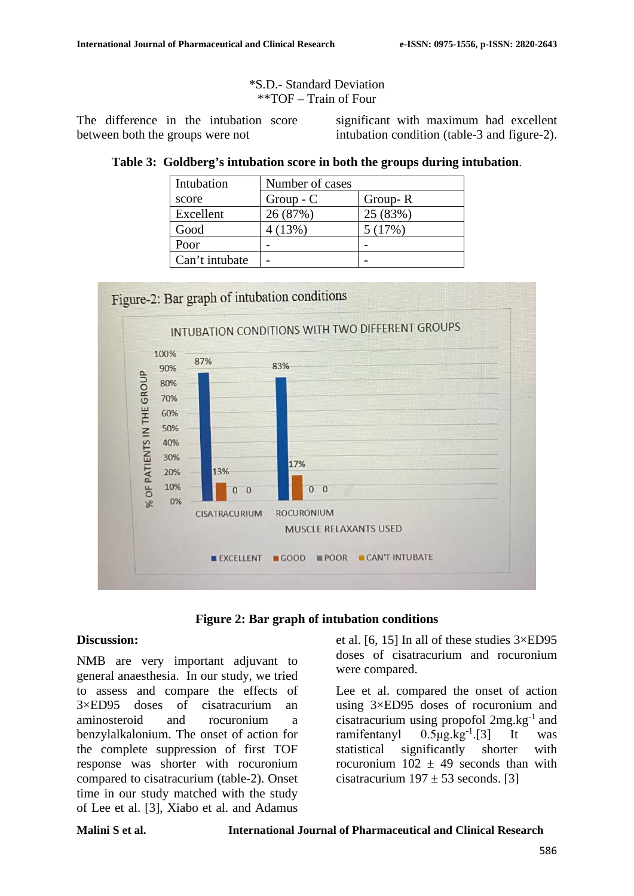#### \*S.D.- Standard Deviation \*\*TOF – Train of Four

The difference in the intubation score between both the groups were not

significant with maximum had excellent intubation condition (table-3 and figure-2).

### **Table 3: Goldberg's intubation score in both the groups during intubation**.

| Intubation     | Number of cases |          |
|----------------|-----------------|----------|
| score          | $Group - C$     | Group-R  |
| Excellent      | 26 (87%)        | 25 (83%) |
| Good           | 4(13%)          | 5(17%)   |
| Poor           |                 |          |
| Can't intubate |                 |          |





### **Discussion:**

NMB are very important adjuvant to general anaesthesia. In our study, we tried to assess and compare the effects of 3×ED95 doses of cisatracurium an aminosteroid and rocuronium a benzylalkalonium. The onset of action for the complete suppression of first TOF response was shorter with rocuronium compared to cisatracurium (table-2). Onset time in our study matched with the study of Lee et al. [3], Xiabo et al. and Adamus

et al. [6, 15] In all of these studies 3×ED95 doses of cisatracurium and rocuronium were compared.

Lee et al. compared the onset of action using 3×ED95 doses of rocuronium and cisatracurium using propofol  $2mg \text{ kg}^{-1}$  and ramifentanyl  $0.5\mu$ g.kg<sup>-1</sup>.[3] It was statistical significantly shorter with rocuronium  $102 \pm 49$  seconds than with cisatracurium  $197 \pm 53$  seconds. [3]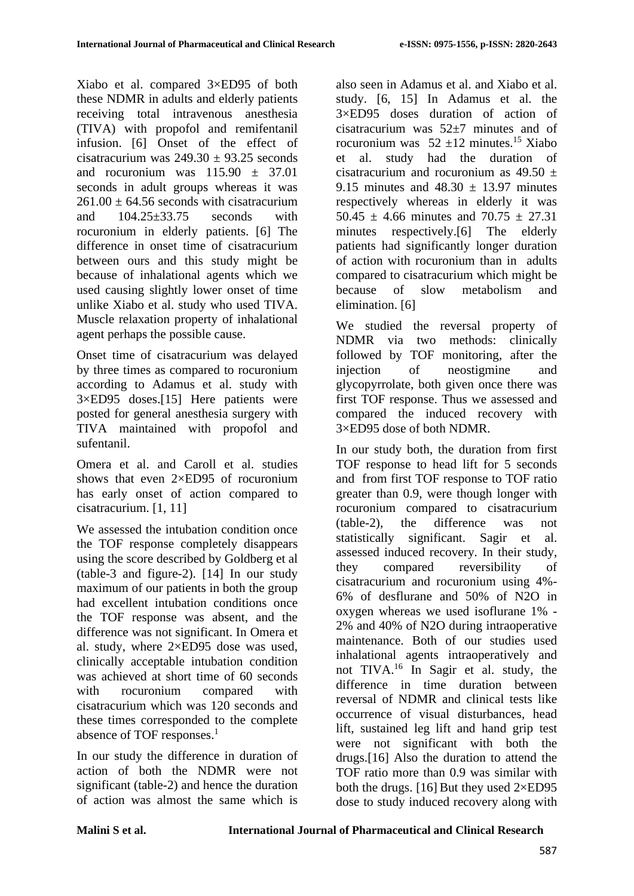Xiabo et al. compared 3×ED95 of both these NDMR in adults and elderly patients receiving total intravenous anesthesia (TIVA) with propofol and remifentanil infusion. [6] Onset of the effect of cisatracurium was  $249.30 \pm 93.25$  seconds and rocuronium was  $115.90 \pm 37.01$ seconds in adult groups whereas it was  $261.00 \pm 64.56$  seconds with cisatracurium and  $104.25 \pm 33.75$  seconds with rocuronium in elderly patients. [6] The difference in onset time of cisatracurium between ours and this study might be because of inhalational agents which we used causing slightly lower onset of time unlike Xiabo et al. study who used TIVA. Muscle relaxation property of inhalational agent perhaps the possible cause.

Onset time of cisatracurium was delayed by three times as compared to rocuronium according to Adamus et al. study with 3×ED95 doses.[15] Here patients were posted for general anesthesia surgery with TIVA maintained with propofol and sufentanil.

Omera et al. and Caroll et al. studies shows that even 2×ED95 of rocuronium has early onset of action compared to cisatracurium. [1, 11]

We assessed the intubation condition once the TOF response completely disappears using the score described by Goldberg et al (table-3 and figure-2). [14] In our study maximum of our patients in both the group had excellent intubation conditions once the TOF response was absent, and the difference was not significant. In Omera et al. study, where 2×ED95 dose was used, clinically acceptable intubation condition was achieved at short time of 60 seconds with rocuronium compared with cisatracurium which was 120 seconds and these times corresponded to the complete absence of TOF responses.<sup>1</sup>

In our study the difference in duration of action of both the NDMR were not significant (table-2) and hence the duration of action was almost the same which is also seen in Adamus et al. and Xiabo et al. study. [6, 15] In Adamus et al. the 3×ED95 doses duration of action of cisatracurium was 52±7 minutes and of rocuronium was  $52 \pm 12$  minutes.<sup>15</sup> Xiabo et al. study had the duration of cisatracurium and rocuronium as  $49.50 \pm$ 9.15 minutes and  $48.30 \pm 13.97$  minutes respectively whereas in elderly it was 50.45  $\pm$  4.66 minutes and 70.75  $\pm$  27.31 minutes respectively.[6] The elderly patients had significantly longer duration of action with rocuronium than in adults compared to cisatracurium which might be because of slow metabolism and elimination. [6]

We studied the reversal property of NDMR via two methods: clinically followed by TOF monitoring, after the injection of neostigmine and glycopyrrolate, both given once there was first TOF response. Thus we assessed and compared the induced recovery with 3×ED95 dose of both NDMR.

In our study both, the duration from first TOF response to head lift for 5 seconds and from first TOF response to TOF ratio greater than 0.9, were though longer with rocuronium compared to cisatracurium (table-2), the difference was not statistically significant. Sagir et al. assessed induced recovery. In their study, they compared reversibility of cisatracurium and rocuronium using 4%- 6% of desflurane and 50% of N2O in oxygen whereas we used isoflurane 1% - 2% and 40% of N2O during intraoperative maintenance. Both of our studies used inhalational agents intraoperatively and not TIVA.16 In Sagir et al. study, the difference in time duration between reversal of NDMR and clinical tests like occurrence of visual disturbances, head lift, sustained leg lift and hand grip test were not significant with both the drugs.[16] Also the duration to attend the TOF ratio more than 0.9 was similar with both the drugs.  $[16]$  But they used  $2 \times E$ D95 dose to study induced recovery along with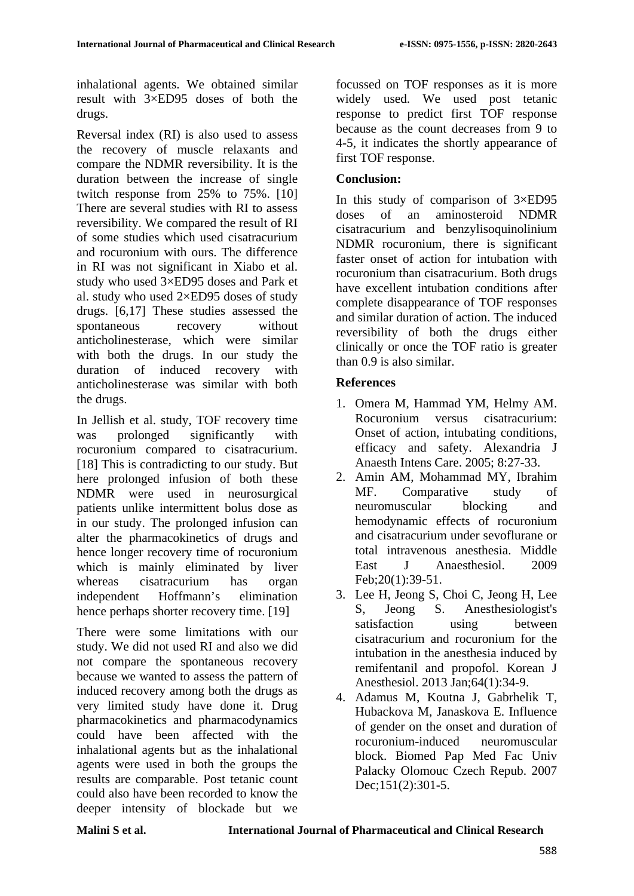inhalational agents. We obtained similar result with 3×ED95 doses of both the drugs.

Reversal index (RI) is also used to assess the recovery of muscle relaxants and compare the NDMR reversibility. It is the duration between the increase of single twitch response from 25% to 75%. [10] There are several studies with RI to assess reversibility. We compared the result of RI of some studies which used cisatracurium and rocuronium with ours. The difference in RI was not significant in Xiabo et al. study who used 3×ED95 doses and Park et al. study who used 2×ED95 doses of study drugs. [6,17] These studies assessed the spontaneous recovery without anticholinesterase, which were similar with both the drugs. In our study the duration of induced recovery with anticholinesterase was similar with both the drugs.

In Jellish et al. study, TOF recovery time was prolonged significantly with rocuronium compared to cisatracurium. [18] This is contradicting to our study. But here prolonged infusion of both these NDMR were used in neurosurgical patients unlike intermittent bolus dose as in our study. The prolonged infusion can alter the pharmacokinetics of drugs and hence longer recovery time of rocuronium which is mainly eliminated by liver whereas cisatracurium has organ independent Hoffmann's elimination hence perhaps shorter recovery time. [19]

There were some limitations with our study. We did not used RI and also we did not compare the spontaneous recovery because we wanted to assess the pattern of induced recovery among both the drugs as very limited study have done it. Drug pharmacokinetics and pharmacodynamics could have been affected with the inhalational agents but as the inhalational agents were used in both the groups the results are comparable. Post tetanic count could also have been recorded to know the deeper intensity of blockade but we focussed on TOF responses as it is more widely used. We used post tetanic response to predict first TOF response because as the count decreases from 9 to 4-5, it indicates the shortly appearance of first TOF response.

# **Conclusion:**

In this study of comparison of  $3\times E$ D95 doses of an aminosteroid NDMR cisatracurium and benzylisoquinolinium NDMR rocuronium, there is significant faster onset of action for intubation with rocuronium than cisatracurium. Both drugs have excellent intubation conditions after complete disappearance of TOF responses and similar duration of action. The induced reversibility of both the drugs either clinically or once the TOF ratio is greater than 0.9 is also similar.

### **References**

- 1. Omera M, Hammad YM, Helmy AM. Rocuronium versus cisatracurium: Onset of action, intubating conditions, efficacy and safety. Alexandria J Anaesth Intens Care. 2005; 8:27-33.
- 2. Amin AM, Mohammad MY, Ibrahim MF. Comparative study of neuromuscular blocking and hemodynamic effects of rocuronium and cisatracurium under sevoflurane or total intravenous anesthesia. Middle East J Anaesthesiol. 2009 Feb;20(1):39-51.
- 3. Lee H, Jeong S, Choi C, Jeong H, Lee S, Jeong S. Anesthesiologist's satisfaction using between cisatracurium and rocuronium for the intubation in the anesthesia induced by remifentanil and propofol. Korean J Anesthesiol. 2013 Jan;64(1):34-9.
- 4. Adamus M, Koutna J, Gabrhelik T, Hubackova M, Janaskova E. Influence of gender on the onset and duration of rocuronium-induced neuromuscular block. Biomed Pap Med Fac Univ Palacky Olomouc Czech Repub. 2007 Dec;151(2):301-5.